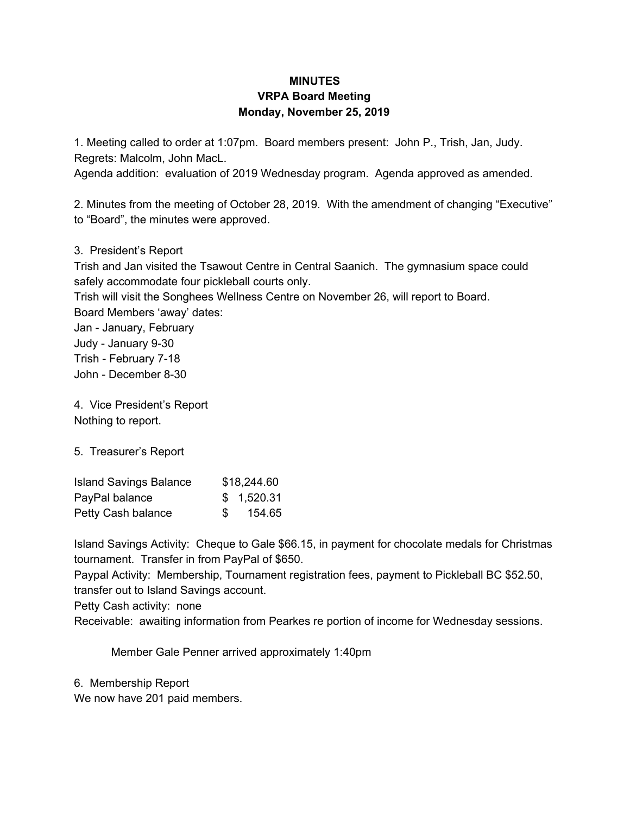## **MINUTES VRPA Board Meeting Monday, November 25, 2019**

1. Meeting called to order at 1:07pm. Board members present: John P., Trish, Jan, Judy. Regrets: Malcolm, John MacL.

Agenda addition: evaluation of 2019 Wednesday program. Agenda approved as amended.

2. Minutes from the meeting of October 28, 2019. With the amendment of changing "Executive" to "Board", the minutes were approved.

3. President's Report

Trish and Jan visited the Tsawout Centre in Central Saanich. The gymnasium space could safely accommodate four pickleball courts only.

Trish will visit the Songhees Wellness Centre on November 26, will report to Board. Board Members 'away' dates:

Jan - January, February

Judy - January 9-30 Trish - February 7-18

John - December 8-30

4. Vice President's Report Nothing to report.

5. Treasurer's Report

| <b>Island Savings Balance</b> |      | \$18,244.60 |
|-------------------------------|------|-------------|
| PayPal balance                |      | \$1,520.31  |
| Petty Cash balance            | - \$ | 154.65      |

Island Savings Activity: Cheque to Gale \$66.15, in payment for chocolate medals for Christmas tournament. Transfer in from PayPal of \$650.

Paypal Activity: Membership, Tournament registration fees, payment to Pickleball BC \$52.50, transfer out to Island Savings account.

Petty Cash activity: none

Receivable: awaiting information from Pearkes re portion of income for Wednesday sessions.

Member Gale Penner arrived approximately 1:40pm

6. Membership Report

We now have 201 paid members.